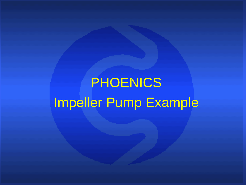# PHOENICS Impeller Pump Example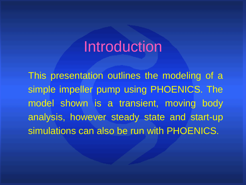#### **Introduction**

This presentation outlines the modeling of a simple impeller pump using PHOENICS. The model shown is a transient, moving body analysis, however steady state and start-up simulations can also be run with PHOENICS.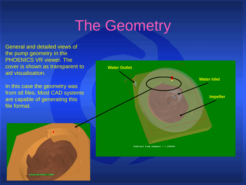## The Geometry

General and detailed views of the pump geometry in the PHOENICS VR viewer. The cover is shown as transparent to aid visualisation.

In this case the geometry was from stl files. Most CAD systems are capable of generating this file format.



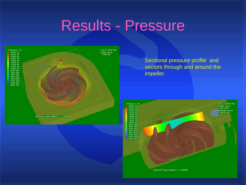#### Results - Pressure



Sectional pressure profile and vectors through and around the impeller.

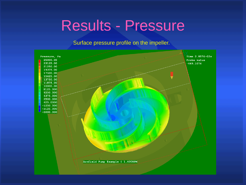#### Results - Pressure

Surface pressure profile on the impeller.

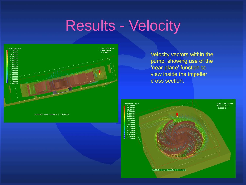#### Results - Velocity



Velocity vectors within the pump, showing use of the 'near-plane' function to view inside the impeller cross section.



Armfield Pump Example @ 1,400RPM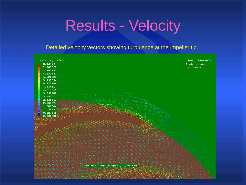### Results - Velocity

#### Detailed velocity vectors showing turbulence at the impeller tip.

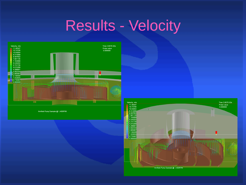# Results - Velocity



Armfield Pump Example @ 1,400RPM

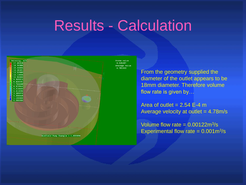### Results - Calculation

Probe value

6.935387

4.781663



Average value From the geometry supplied the diameter of the outlet appears to be 18mm diameter. Therefore volume flow rate is given by…

> Area of outlet  $= 2.54$  E-4 m Average velocity at outlet  $= 4.78$ m/s

Volume flow rate  $= 0.00122 m^3/s$ Experimental flow rate  $= 0.001 \text{m}^3/\text{s}$